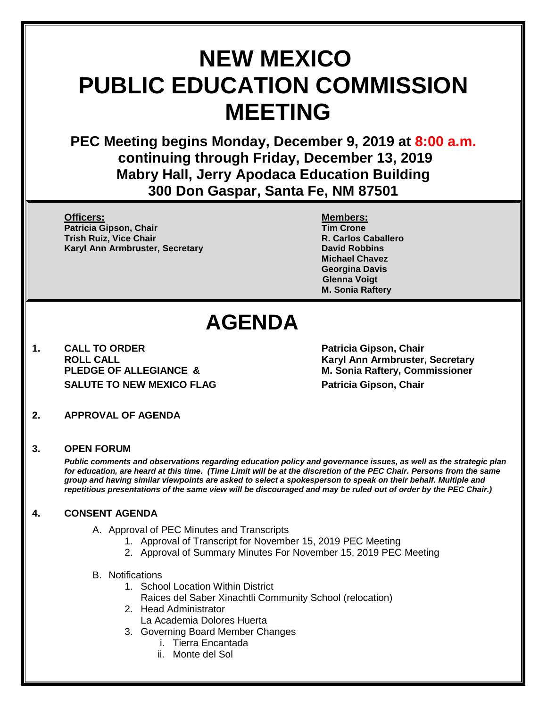# **NEW MEXICO PUBLIC EDUCATION COMMISSION MEETING**

**PEC Meeting begins Monday, December 9, 2019 at 8:00 a.m. continuing through Friday, December 13, 2019 Mabry Hall, Jerry Apodaca Education Building 300 Don Gaspar, Santa Fe, NM 87501**

**Officers: Members: Patricia Gipson, Chair Tim Crone Trish Ruiz, Vice Chair R. Carlos Caballero Karyl Ann Armbruster, Secretary <b>David Robbins David Robbins** 

**Michael Chavez Georgina Davis Glenna Voigt M. Sonia Raftery**

## **AGENDA**

**1. CALL TO ORDER Patricia Gipson, Chair SALUTE TO NEW MEXICO FLAG Patricia Gipson, Chair** 

**ROLL CALL Karyl Ann Armbruster, Secretary PLEDGE OF ALLEGIANCE & M. Sonia Raftery, Commissioner**

**2. APPROVAL OF AGENDA**

#### **3. OPEN FORUM**

*Public comments and observations regarding education policy and governance issues, as well as the strategic plan for education, are heard at this time. (Time Limit will be at the discretion of the PEC Chair. Persons from the same group and having similar viewpoints are asked to select a spokesperson to speak on their behalf. Multiple and repetitious presentations of the same view will be discouraged and may be ruled out of order by the PEC Chair.)*

#### **4. CONSENT AGENDA**

- A. Approval of PEC Minutes and Transcripts
	- 1. Approval of Transcript for November 15, 2019 PEC Meeting
	- 2. Approval of Summary Minutes For November 15, 2019 PEC Meeting

#### B. Notifications

- 1. School Location Within District
	- Raices del Saber Xinachtli Community School (relocation)
- 2. Head Administrator
	- La Academia Dolores Huerta
- 3. Governing Board Member Changes
	- i. Tierra Encantada
	- ii. Monte del Sol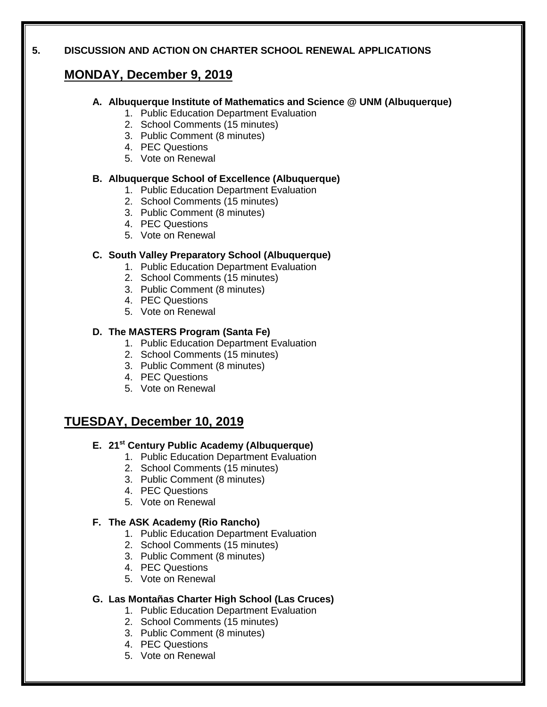#### **5. DISCUSSION AND ACTION ON CHARTER SCHOOL RENEWAL APPLICATIONS**

## **MONDAY, December 9, 2019**

#### **A. Albuquerque Institute of Mathematics and Science @ UNM (Albuquerque)**

- 1. Public Education Department Evaluation
- 2. School Comments (15 minutes)
- 3. Public Comment (8 minutes)
- 4. PEC Questions
- 5. Vote on Renewal

#### **B. Albuquerque School of Excellence (Albuquerque)**

- 1. Public Education Department Evaluation
- 2. School Comments (15 minutes)
- 3. Public Comment (8 minutes)
- 4. PEC Questions
- 5. Vote on Renewal

#### **C. South Valley Preparatory School (Albuquerque)**

- 1. Public Education Department Evaluation
- 2. School Comments (15 minutes)
- 3. Public Comment (8 minutes)
- 4. PEC Questions
- 5. Vote on Renewal

#### **D. The MASTERS Program (Santa Fe)**

- 1. Public Education Department Evaluation
- 2. School Comments (15 minutes)
- 3. Public Comment (8 minutes)
- 4. PEC Questions
- 5. Vote on Renewal

## **TUESDAY, December 10, 2019**

#### **E. 21st Century Public Academy (Albuquerque)**

- 1. Public Education Department Evaluation
- 2. School Comments (15 minutes)
- 3. Public Comment (8 minutes)
- 4. PEC Questions
- 5. Vote on Renewal

#### **F. The ASK Academy (Rio Rancho)**

- 1. Public Education Department Evaluation
- 2. School Comments (15 minutes)
- 3. Public Comment (8 minutes)
- 4. PEC Questions
- 5. Vote on Renewal

#### **G. Las Montañas Charter High School (Las Cruces)**

- 1. Public Education Department Evaluation
- 2. School Comments (15 minutes)
- 3. Public Comment (8 minutes)
- 4. PEC Questions
- 5. Vote on Renewal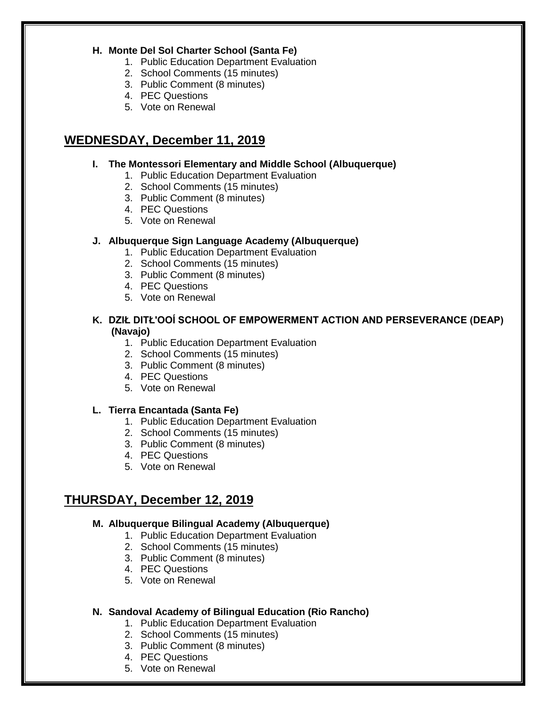#### **H. Monte Del Sol Charter School (Santa Fe)**

- 1. Public Education Department Evaluation
- 2. School Comments (15 minutes)
- 3. Public Comment (8 minutes)
- 4. PEC Questions
- 5. Vote on Renewal

## **WEDNESDAY, December 11, 2019**

#### **I. The Montessori Elementary and Middle School (Albuquerque)**

- 1. Public Education Department Evaluation
- 2. School Comments (15 minutes)
- 3. Public Comment (8 minutes)
- 4. PEC Questions
- 5. Vote on Renewal

#### **J. Albuquerque Sign Language Academy (Albuquerque)**

- 1. Public Education Department Evaluation
- 2. School Comments (15 minutes)
- 3. Public Comment (8 minutes)
- 4. PEC Questions
- 5. Vote on Renewal

#### **K. DZIŁ DITŁ'OOÍ SCHOOL OF EMPOWERMENT ACTION AND PERSEVERANCE (DEAP) (Navajo)**

- 1. Public Education Department Evaluation
- 2. School Comments (15 minutes)
- 3. Public Comment (8 minutes)
- 4. PEC Questions
- 5. Vote on Renewal

#### **L. Tierra Encantada (Santa Fe)**

- 1. Public Education Department Evaluation
- 2. School Comments (15 minutes)
- 3. Public Comment (8 minutes)
- 4. PEC Questions
- 5. Vote on Renewal

## **THURSDAY, December 12, 2019**

#### **M. Albuquerque Bilingual Academy (Albuquerque)**

- 1. Public Education Department Evaluation
- 2. School Comments (15 minutes)
- 3. Public Comment (8 minutes)
- 4. PEC Questions
- 5. Vote on Renewal

#### **N. Sandoval Academy of Bilingual Education (Rio Rancho)**

- 1. Public Education Department Evaluation
- 2. School Comments (15 minutes)
- 3. Public Comment (8 minutes)
- 4. PEC Questions
- 5. Vote on Renewal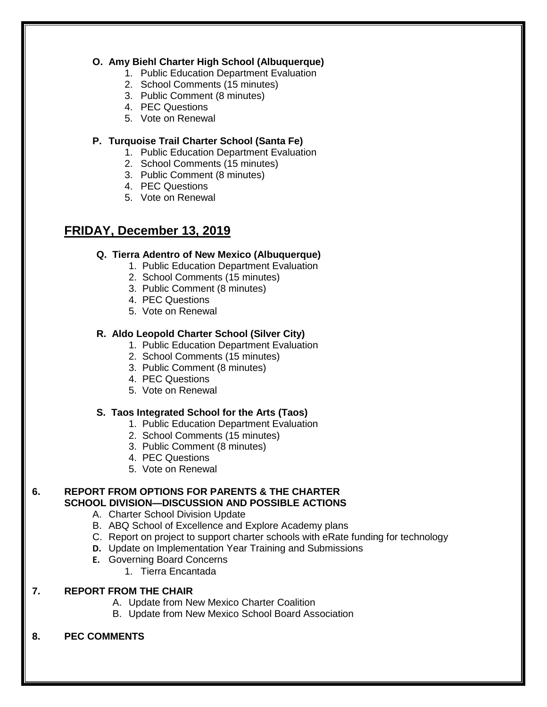#### **O. Amy Biehl Charter High School (Albuquerque)**

- 1. Public Education Department Evaluation
- 2. School Comments (15 minutes)
- 3. Public Comment (8 minutes)
- 4. PEC Questions
- 5. Vote on Renewal

#### **P. Turquoise Trail Charter School (Santa Fe)**

- 1. Public Education Department Evaluation
- 2. School Comments (15 minutes)
- 3. Public Comment (8 minutes)
- 4. PEC Questions
- 5. Vote on Renewal

## **FRIDAY, December 13, 2019**

#### **Q. Tierra Adentro of New Mexico (Albuquerque)**

- 1. Public Education Department Evaluation
- 2. School Comments (15 minutes)
- 3. Public Comment (8 minutes)
- 4. PEC Questions
- 5. Vote on Renewal

#### **R. Aldo Leopold Charter School (Silver City)**

- 1. Public Education Department Evaluation
- 2. School Comments (15 minutes)
- 3. Public Comment (8 minutes)
- 4. PEC Questions
- 5. Vote on Renewal

#### **S. Taos Integrated School for the Arts (Taos)**

- 1. Public Education Department Evaluation
- 2. School Comments (15 minutes)
- 3. Public Comment (8 minutes)
- 4. PEC Questions
- 5. Vote on Renewal

#### **6. REPORT FROM OPTIONS FOR PARENTS & THE CHARTER SCHOOL DIVISION—DISCUSSION AND POSSIBLE ACTIONS**

- A. Charter School Division Update
- B. ABQ School of Excellence and Explore Academy plans
- C. Report on project to support charter schools with eRate funding for technology
- **D.** Update on Implementation Year Training and Submissions
- **E.** Governing Board Concerns
	- 1. Tierra Encantada

#### **7. REPORT FROM THE CHAIR**

- A. Update from New Mexico Charter Coalition
- B. Update from New Mexico School Board Association

#### **8. PEC COMMENTS**